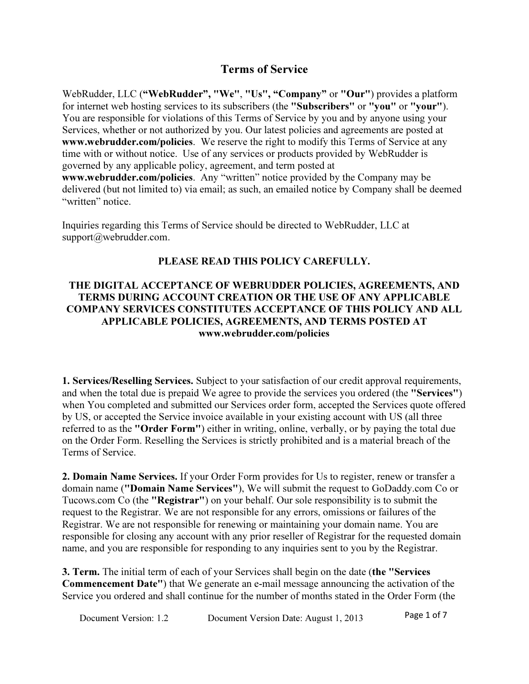# Terms of Service

WebRudder, LLC ("WebRudder", "We", "Us", "Company" or "Our") provides a platform for internet web hosting services to its subscribers (the "Subscribers" or "you" or "your"). You are responsible for violations of this Terms of Service by you and by anyone using your Services, whether or not authorized by you. Our latest policies and agreements are posted at www.webrudder.com/policies. We reserve the right to modify this Terms of Service at any time with or without notice. Use of any services or products provided by WebRudder is governed by any applicable policy, agreement, and term posted at www.webrudder.com/policies. Any "written" notice provided by the Company may be delivered (but not limited to) via email; as such, an emailed notice by Company shall be deemed "written" notice.

Inquiries regarding this Terms of Service should be directed to WebRudder, LLC at support@webrudder.com.

### PLEASE READ THIS POLICY CAREFULLY.

#### THE DIGITAL ACCEPTANCE OF WEBRUDDER POLICIES, AGREEMENTS, AND TERMS DURING ACCOUNT CREATION OR THE USE OF ANY APPLICABLE COMPANY SERVICES CONSTITUTES ACCEPTANCE OF THIS POLICY AND ALL APPLICABLE POLICIES, AGREEMENTS, AND TERMS POSTED AT www.webrudder.com/policies

1. Services/Reselling Services. Subject to your satisfaction of our credit approval requirements, and when the total due is prepaid We agree to provide the services you ordered (the "Services") when You completed and submitted our Services order form, accepted the Services quote offered by US, or accepted the Service invoice available in your existing account with US (all three referred to as the "Order Form") either in writing, online, verbally, or by paying the total due on the Order Form. Reselling the Services is strictly prohibited and is a material breach of the Terms of Service.

2. Domain Name Services. If your Order Form provides for Us to register, renew or transfer a domain name ("Domain Name Services"), We will submit the request to GoDaddy.com Co or Tucows.com Co (the "Registrar") on your behalf. Our sole responsibility is to submit the request to the Registrar. We are not responsible for any errors, omissions or failures of the Registrar. We are not responsible for renewing or maintaining your domain name. You are responsible for closing any account with any prior reseller of Registrar for the requested domain name, and you are responsible for responding to any inquiries sent to you by the Registrar.

3. Term. The initial term of each of your Services shall begin on the date (the "Services Commencement Date") that We generate an e-mail message announcing the activation of the Service you ordered and shall continue for the number of months stated in the Order Form (the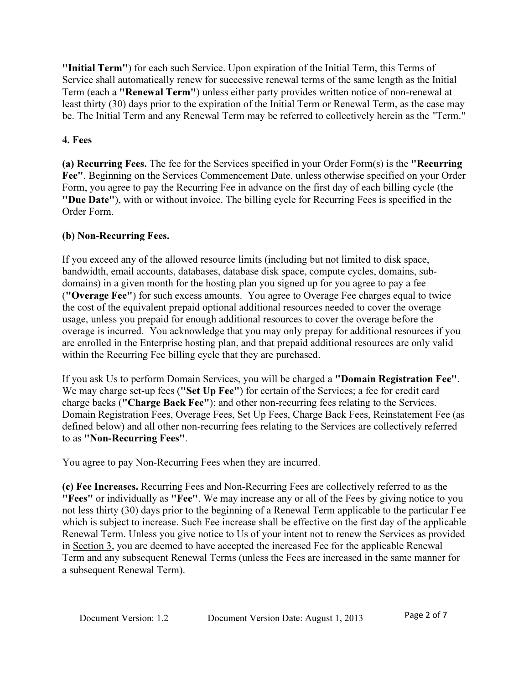"Initial Term") for each such Service. Upon expiration of the Initial Term, this Terms of Service shall automatically renew for successive renewal terms of the same length as the Initial Term (each a "Renewal Term") unless either party provides written notice of non-renewal at least thirty (30) days prior to the expiration of the Initial Term or Renewal Term, as the case may be. The Initial Term and any Renewal Term may be referred to collectively herein as the "Term."

# 4. Fees

(a) Recurring Fees. The fee for the Services specified in your Order Form(s) is the "Recurring Fee". Beginning on the Services Commencement Date, unless otherwise specified on your Order Form, you agree to pay the Recurring Fee in advance on the first day of each billing cycle (the "Due Date"), with or without invoice. The billing cycle for Recurring Fees is specified in the Order Form.

# (b) Non-Recurring Fees.

If you exceed any of the allowed resource limits (including but not limited to disk space, bandwidth, email accounts, databases, database disk space, compute cycles, domains, subdomains) in a given month for the hosting plan you signed up for you agree to pay a fee ("Overage Fee") for such excess amounts. You agree to Overage Fee charges equal to twice the cost of the equivalent prepaid optional additional resources needed to cover the overage usage, unless you prepaid for enough additional resources to cover the overage before the overage is incurred. You acknowledge that you may only prepay for additional resources if you are enrolled in the Enterprise hosting plan, and that prepaid additional resources are only valid within the Recurring Fee billing cycle that they are purchased.

If you ask Us to perform Domain Services, you will be charged a "Domain Registration Fee". We may charge set-up fees ("Set Up Fee") for certain of the Services; a fee for credit card charge backs ("Charge Back Fee"); and other non-recurring fees relating to the Services. Domain Registration Fees, Overage Fees, Set Up Fees, Charge Back Fees, Reinstatement Fee (as defined below) and all other non-recurring fees relating to the Services are collectively referred to as "Non-Recurring Fees".

You agree to pay Non-Recurring Fees when they are incurred.

(c) Fee Increases. Recurring Fees and Non-Recurring Fees are collectively referred to as the "Fees" or individually as "Fee". We may increase any or all of the Fees by giving notice to you not less thirty (30) days prior to the beginning of a Renewal Term applicable to the particular Fee which is subject to increase. Such Fee increase shall be effective on the first day of the applicable Renewal Term. Unless you give notice to Us of your intent not to renew the Services as provided in Section 3, you are deemed to have accepted the increased Fee for the applicable Renewal Term and any subsequent Renewal Terms (unless the Fees are increased in the same manner for a subsequent Renewal Term).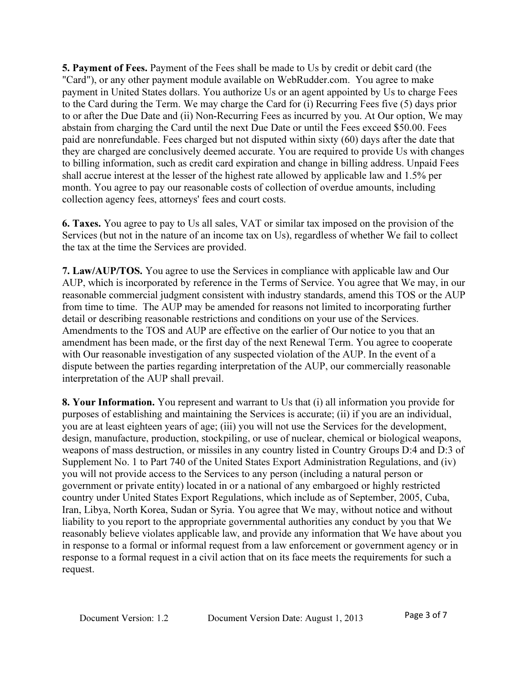5. Payment of Fees. Payment of the Fees shall be made to Us by credit or debit card (the "Card"), or any other payment module available on WebRudder.com. You agree to make payment in United States dollars. You authorize Us or an agent appointed by Us to charge Fees to the Card during the Term. We may charge the Card for (i) Recurring Fees five (5) days prior to or after the Due Date and (ii) Non-Recurring Fees as incurred by you. At Our option, We may abstain from charging the Card until the next Due Date or until the Fees exceed \$50.00. Fees paid are nonrefundable. Fees charged but not disputed within sixty (60) days after the date that they are charged are conclusively deemed accurate. You are required to provide Us with changes to billing information, such as credit card expiration and change in billing address. Unpaid Fees shall accrue interest at the lesser of the highest rate allowed by applicable law and 1.5% per month. You agree to pay our reasonable costs of collection of overdue amounts, including collection agency fees, attorneys' fees and court costs.

6. Taxes. You agree to pay to Us all sales, VAT or similar tax imposed on the provision of the Services (but not in the nature of an income tax on Us), regardless of whether We fail to collect the tax at the time the Services are provided.

7. Law/AUP/TOS. You agree to use the Services in compliance with applicable law and Our AUP, which is incorporated by reference in the Terms of Service. You agree that We may, in our reasonable commercial judgment consistent with industry standards, amend this TOS or the AUP from time to time. The AUP may be amended for reasons not limited to incorporating further detail or describing reasonable restrictions and conditions on your use of the Services. Amendments to the TOS and AUP are effective on the earlier of Our notice to you that an amendment has been made, or the first day of the next Renewal Term. You agree to cooperate with Our reasonable investigation of any suspected violation of the AUP. In the event of a dispute between the parties regarding interpretation of the AUP, our commercially reasonable interpretation of the AUP shall prevail.

8. Your Information. You represent and warrant to Us that (i) all information you provide for purposes of establishing and maintaining the Services is accurate; (ii) if you are an individual, you are at least eighteen years of age; (iii) you will not use the Services for the development, design, manufacture, production, stockpiling, or use of nuclear, chemical or biological weapons, weapons of mass destruction, or missiles in any country listed in Country Groups D:4 and D:3 of Supplement No. 1 to Part 740 of the United States Export Administration Regulations, and (iv) you will not provide access to the Services to any person (including a natural person or government or private entity) located in or a national of any embargoed or highly restricted country under United States Export Regulations, which include as of September, 2005, Cuba, Iran, Libya, North Korea, Sudan or Syria. You agree that We may, without notice and without liability to you report to the appropriate governmental authorities any conduct by you that We reasonably believe violates applicable law, and provide any information that We have about you in response to a formal or informal request from a law enforcement or government agency or in response to a formal request in a civil action that on its face meets the requirements for such a request.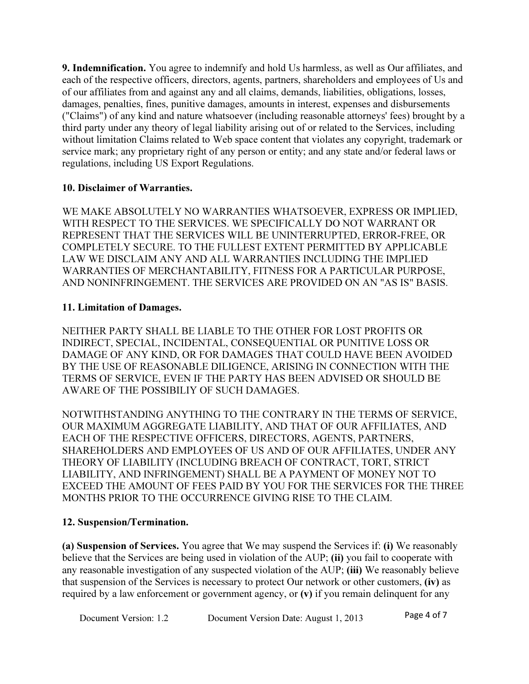9. Indemnification. You agree to indemnify and hold Us harmless, as well as Our affiliates, and each of the respective officers, directors, agents, partners, shareholders and employees of Us and of our affiliates from and against any and all claims, demands, liabilities, obligations, losses, damages, penalties, fines, punitive damages, amounts in interest, expenses and disbursements ("Claims") of any kind and nature whatsoever (including reasonable attorneys' fees) brought by a third party under any theory of legal liability arising out of or related to the Services, including without limitation Claims related to Web space content that violates any copyright, trademark or service mark; any proprietary right of any person or entity; and any state and/or federal laws or regulations, including US Export Regulations.

### 10. Disclaimer of Warranties.

WE MAKE ABSOLUTELY NO WARRANTIES WHATSOEVER, EXPRESS OR IMPLIED, WITH RESPECT TO THE SERVICES. WE SPECIFICALLY DO NOT WARRANT OR REPRESENT THAT THE SERVICES WILL BE UNINTERRUPTED, ERROR-FREE, OR COMPLETELY SECURE. TO THE FULLEST EXTENT PERMITTED BY APPLICABLE LAW WE DISCLAIM ANY AND ALL WARRANTIES INCLUDING THE IMPLIED WARRANTIES OF MERCHANTABILITY, FITNESS FOR A PARTICULAR PURPOSE, AND NONINFRINGEMENT. THE SERVICES ARE PROVIDED ON AN "AS IS" BASIS.

### 11. Limitation of Damages.

NEITHER PARTY SHALL BE LIABLE TO THE OTHER FOR LOST PROFITS OR INDIRECT, SPECIAL, INCIDENTAL, CONSEQUENTIAL OR PUNITIVE LOSS OR DAMAGE OF ANY KIND, OR FOR DAMAGES THAT COULD HAVE BEEN AVOIDED BY THE USE OF REASONABLE DILIGENCE, ARISING IN CONNECTION WITH THE TERMS OF SERVICE, EVEN IF THE PARTY HAS BEEN ADVISED OR SHOULD BE AWARE OF THE POSSIBILIY OF SUCH DAMAGES.

NOTWITHSTANDING ANYTHING TO THE CONTRARY IN THE TERMS OF SERVICE, OUR MAXIMUM AGGREGATE LIABILITY, AND THAT OF OUR AFFILIATES, AND EACH OF THE RESPECTIVE OFFICERS, DIRECTORS, AGENTS, PARTNERS, SHAREHOLDERS AND EMPLOYEES OF US AND OF OUR AFFILIATES, UNDER ANY THEORY OF LIABILITY (INCLUDING BREACH OF CONTRACT, TORT, STRICT LIABILITY, AND INFRINGEMENT) SHALL BE A PAYMENT OF MONEY NOT TO EXCEED THE AMOUNT OF FEES PAID BY YOU FOR THE SERVICES FOR THE THREE MONTHS PRIOR TO THE OCCURRENCE GIVING RISE TO THE CLAIM.

# 12. Suspension/Termination.

(a) Suspension of Services. You agree that We may suspend the Services if: (i) We reasonably believe that the Services are being used in violation of the AUP; (ii) you fail to cooperate with any reasonable investigation of any suspected violation of the AUP; (iii) We reasonably believe that suspension of the Services is necessary to protect Our network or other customers, (iv) as required by a law enforcement or government agency, or (v) if you remain delinquent for any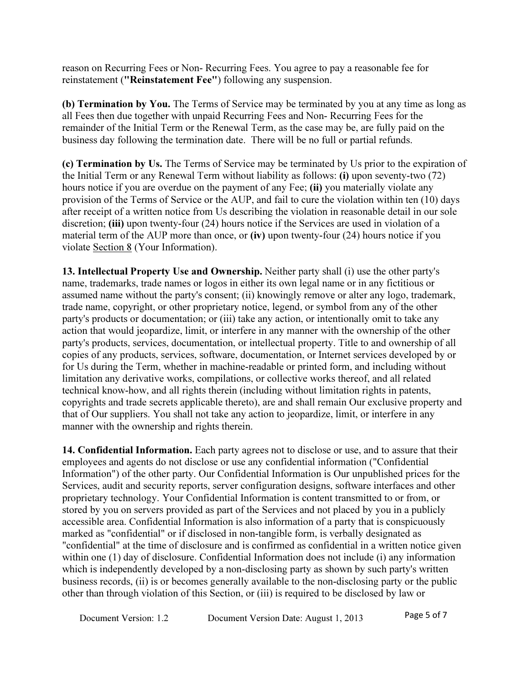reason on Recurring Fees or Non- Recurring Fees. You agree to pay a reasonable fee for reinstatement ("Reinstatement Fee") following any suspension.

(b) Termination by You. The Terms of Service may be terminated by you at any time as long as all Fees then due together with unpaid Recurring Fees and Non- Recurring Fees for the remainder of the Initial Term or the Renewal Term, as the case may be, are fully paid on the business day following the termination date. There will be no full or partial refunds.

(c) Termination by Us. The Terms of Service may be terminated by Us prior to the expiration of the Initial Term or any Renewal Term without liability as follows: (i) upon seventy-two (72) hours notice if you are overdue on the payment of any Fee; (ii) you materially violate any provision of the Terms of Service or the AUP, and fail to cure the violation within ten (10) days after receipt of a written notice from Us describing the violation in reasonable detail in our sole discretion; (iii) upon twenty-four (24) hours notice if the Services are used in violation of a material term of the AUP more than once, or (iv) upon twenty-four (24) hours notice if you violate Section 8 (Your Information).

13. Intellectual Property Use and Ownership. Neither party shall (i) use the other party's name, trademarks, trade names or logos in either its own legal name or in any fictitious or assumed name without the party's consent; (ii) knowingly remove or alter any logo, trademark, trade name, copyright, or other proprietary notice, legend, or symbol from any of the other party's products or documentation; or (iii) take any action, or intentionally omit to take any action that would jeopardize, limit, or interfere in any manner with the ownership of the other party's products, services, documentation, or intellectual property. Title to and ownership of all copies of any products, services, software, documentation, or Internet services developed by or for Us during the Term, whether in machine-readable or printed form, and including without limitation any derivative works, compilations, or collective works thereof, and all related technical know-how, and all rights therein (including without limitation rights in patents, copyrights and trade secrets applicable thereto), are and shall remain Our exclusive property and that of Our suppliers. You shall not take any action to jeopardize, limit, or interfere in any manner with the ownership and rights therein.

14. Confidential Information. Each party agrees not to disclose or use, and to assure that their employees and agents do not disclose or use any confidential information ("Confidential Information") of the other party. Our Confidential Information is Our unpublished prices for the Services, audit and security reports, server configuration designs, software interfaces and other proprietary technology. Your Confidential Information is content transmitted to or from, or stored by you on servers provided as part of the Services and not placed by you in a publicly accessible area. Confidential Information is also information of a party that is conspicuously marked as "confidential" or if disclosed in non-tangible form, is verbally designated as "confidential" at the time of disclosure and is confirmed as confidential in a written notice given within one (1) day of disclosure. Confidential Information does not include (i) any information which is independently developed by a non-disclosing party as shown by such party's written business records, (ii) is or becomes generally available to the non-disclosing party or the public other than through violation of this Section, or (iii) is required to be disclosed by law or

Document Version: 1.2 Document Version Date: August 1, 2013 Page 5 of 7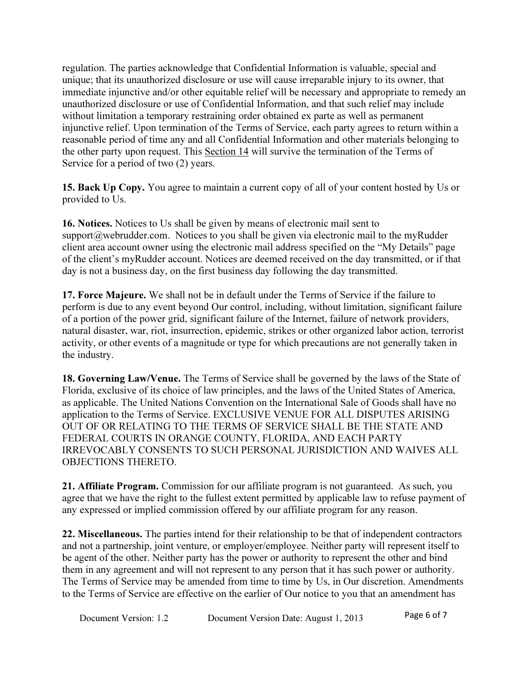regulation. The parties acknowledge that Confidential Information is valuable, special and unique; that its unauthorized disclosure or use will cause irreparable injury to its owner, that immediate injunctive and/or other equitable relief will be necessary and appropriate to remedy an unauthorized disclosure or use of Confidential Information, and that such relief may include without limitation a temporary restraining order obtained ex parte as well as permanent injunctive relief. Upon termination of the Terms of Service, each party agrees to return within a reasonable period of time any and all Confidential Information and other materials belonging to the other party upon request. This Section 14 will survive the termination of the Terms of Service for a period of two (2) years.

15. Back Up Copy. You agree to maintain a current copy of all of your content hosted by Us or provided to Us.

16. Notices. Notices to Us shall be given by means of electronic mail sent to support $@$ webrudder.com. Notices to you shall be given via electronic mail to the myRudder client area account owner using the electronic mail address specified on the "My Details" page of the client's myRudder account. Notices are deemed received on the day transmitted, or if that day is not a business day, on the first business day following the day transmitted.

17. Force Majeure. We shall not be in default under the Terms of Service if the failure to perform is due to any event beyond Our control, including, without limitation, significant failure of a portion of the power grid, significant failure of the Internet, failure of network providers, natural disaster, war, riot, insurrection, epidemic, strikes or other organized labor action, terrorist activity, or other events of a magnitude or type for which precautions are not generally taken in the industry.

18. Governing Law/Venue. The Terms of Service shall be governed by the laws of the State of Florida, exclusive of its choice of law principles, and the laws of the United States of America, as applicable. The United Nations Convention on the International Sale of Goods shall have no application to the Terms of Service. EXCLUSIVE VENUE FOR ALL DISPUTES ARISING OUT OF OR RELATING TO THE TERMS OF SERVICE SHALL BE THE STATE AND FEDERAL COURTS IN ORANGE COUNTY, FLORIDA, AND EACH PARTY IRREVOCABLY CONSENTS TO SUCH PERSONAL JURISDICTION AND WAIVES ALL OBJECTIONS THERETO.

21. Affiliate Program. Commission for our affiliate program is not guaranteed. As such, you agree that we have the right to the fullest extent permitted by applicable law to refuse payment of any expressed or implied commission offered by our affiliate program for any reason.

22. Miscellaneous. The parties intend for their relationship to be that of independent contractors and not a partnership, joint venture, or employer/employee. Neither party will represent itself to be agent of the other. Neither party has the power or authority to represent the other and bind them in any agreement and will not represent to any person that it has such power or authority. The Terms of Service may be amended from time to time by Us, in Our discretion. Amendments to the Terms of Service are effective on the earlier of Our notice to you that an amendment has